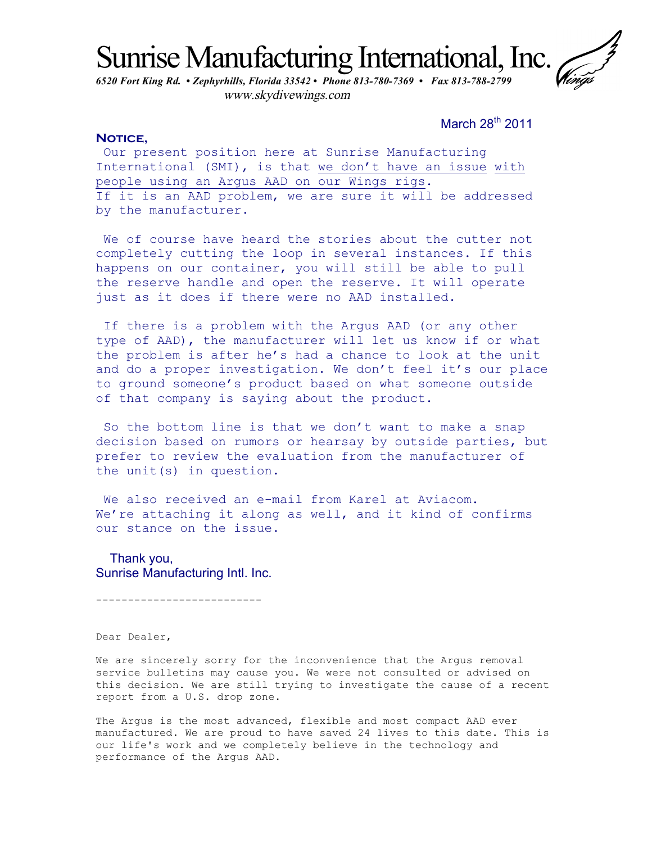Sunrise Manufacturing International, Inc.

*6520 Fort King Rd. • Zephyrhills, Florida 33542 • Phone 813-780-7369 • Fax 813-788-2799*  www.skydivewings.com

March 28<sup>th</sup> 2011

## NOTICE,

Our present position here at Sunrise Manufacturing International (SMI), is that we don't have an issue with people using an Argus AAD on our Wings rigs. If it is an AAD problem, we are sure it will be addressed by the manufacturer.

We of course have heard the stories about the cutter not completely cutting the loop in several instances. If this happens on our container, you will still be able to pull the reserve handle and open the reserve. It will operate just as it does if there were no AAD installed.

If there is a problem with the Argus AAD (or any other type of AAD), the manufacturer will let us know if or what the problem is after he's had a chance to look at the unit and do a proper investigation. We don't feel it's our place to ground someone's product based on what someone outside of that company is saying about the product.

So the bottom line is that we don't want to make a snap decision based on rumors or hearsay by outside parties, but prefer to review the evaluation from the manufacturer of the unit(s) in question.

We also received an e-mail from Karel at Aviacom. We're attaching it along as well, and it kind of confirms our stance on the issue.

 Thank you, Sunrise Manufacturing Intl. Inc.

--------------------------

Dear Dealer,

We are sincerely sorry for the inconvenience that the Argus removal service bulletins may cause you. We were not consulted or advised on this decision. We are still trying to investigate the cause of a recent report from a U.S. drop zone.

The Argus is the most advanced, flexible and most compact AAD ever manufactured. We are proud to have saved 24 lives to this date. This is our life's work and we completely believe in the technology and performance of the Argus AAD.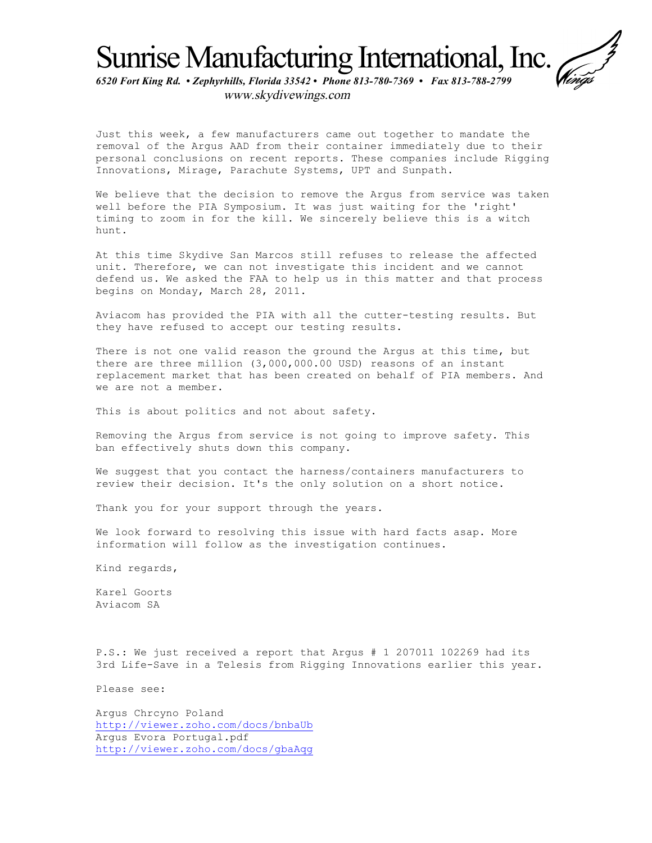Sunrise Manufacturing International, Inc.

*6520 Fort King Rd. • Zephyrhills, Florida 33542 • Phone 813-780-7369 • Fax 813-788-2799*  www.skydivewings.com

Just this week, a few manufacturers came out together to mandate the removal of the Argus AAD from their container immediately due to their personal conclusions on recent reports. These companies include Rigging Innovations, Mirage, Parachute Systems, UPT and Sunpath.

We believe that the decision to remove the Argus from service was taken well before the PIA Symposium. It was just waiting for the 'right' timing to zoom in for the kill. We sincerely believe this is a witch hunt.

At this time Skydive San Marcos still refuses to release the affected unit. Therefore, we can not investigate this incident and we cannot defend us. We asked the FAA to help us in this matter and that process begins on Monday, March 28, 2011.

Aviacom has provided the PIA with all the cutter-testing results. But they have refused to accept our testing results.

There is not one valid reason the ground the Argus at this time, but there are three million (3,000,000.00 USD) reasons of an instant replacement market that has been created on behalf of PIA members. And we are not a member.

This is about politics and not about safety.

Removing the Argus from service is not going to improve safety. This ban effectively shuts down this company.

We suggest that you contact the harness/containers manufacturers to review their decision. It's the only solution on a short notice.

Thank you for your support through the years.

We look forward to resolving this issue with hard facts asap. More information will follow as the investigation continues.

Kind regards,

Karel Goorts Aviacom SA

P.S.: We just received a report that Argus # 1 207011 102269 had its 3rd Life-Save in a Telesis from Rigging Innovations earlier this year.

Please see:

Argus Chrcyno Poland http://viewer.zoho.com/docs/bnbaUb Argus Evora Portugal.pdf http://viewer.zoho.com/docs/gbaAqg